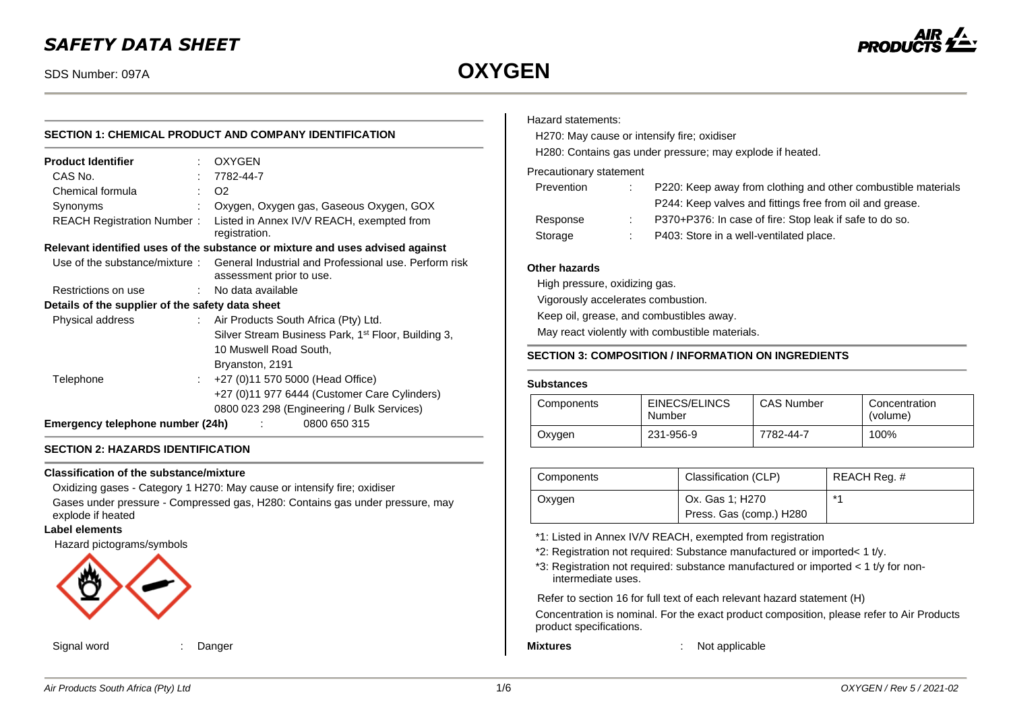## *SAFETY DATA SHEET*

# SDS Number: 097A **OXYGEN**



# **SECTION 1: CHEMICAL PRODUCT AND COMPANY IDENTIFICATION**

|                                                               | <b>OXYGEN</b>                                                                                                   |  |  |
|---------------------------------------------------------------|-----------------------------------------------------------------------------------------------------------------|--|--|
|                                                               | 7782-44-7                                                                                                       |  |  |
|                                                               | O <sub>2</sub>                                                                                                  |  |  |
|                                                               | Oxygen, Oxygen gas, Gaseous Oxygen, GOX                                                                         |  |  |
| <b>REACH Registration Number:</b>                             | Listed in Annex IV/V REACH, exempted from<br>registration.                                                      |  |  |
|                                                               | Relevant identified uses of the substance or mixture and uses advised against                                   |  |  |
|                                                               | Use of the substance/mixture: General Industrial and Professional use. Perform risk<br>assessment prior to use. |  |  |
|                                                               | : No data available                                                                                             |  |  |
|                                                               | Details of the supplier of the safety data sheet                                                                |  |  |
|                                                               | : Air Products South Africa (Pty) Ltd.                                                                          |  |  |
|                                                               | Silver Stream Business Park, 1 <sup>st</sup> Floor, Building 3,                                                 |  |  |
|                                                               | 10 Muswell Road South,                                                                                          |  |  |
|                                                               | Bryanston, 2191                                                                                                 |  |  |
|                                                               | +27 (0)11 570 5000 (Head Office)                                                                                |  |  |
|                                                               | +27 (0)11 977 6444 (Customer Care Cylinders)                                                                    |  |  |
|                                                               | 0800 023 298 (Engineering / Bulk Services)                                                                      |  |  |
| Emergency telephone number (24h)<br>0800 650 315<br>$\sim 10$ |                                                                                                                 |  |  |
|                                                               |                                                                                                                 |  |  |

#### **SECTION 2: HAZARDS IDENTIFICATION**

#### **Classification of the substance/mixture**

Oxidizing gases - Category 1 H270: May cause or intensify fire; oxidiser Gases under pressure - Compressed gas, H280: Contains gas under pressure, may explode if heated

#### **Label elements**

Hazard pictograms/symbols



Signal word : Danger

#### Hazard statements:

H270: May cause or intensify fire; oxidiser

H280: Contains gas under pressure; may explode if heated.

#### Precautionary statement

| t. | P220: Keep away from clothing and other combustible materials |
|----|---------------------------------------------------------------|
|    | P244: Keep valves and fittings free from oil and grease.      |
|    | P370+P376: In case of fire: Stop leak if safe to do so.       |
|    | P403: Store in a well-ventilated place.                       |
|    |                                                               |

#### **Other hazards**

High pressure, oxidizing gas.

Vigorously accelerates combustion.

Keep oil, grease, and combustibles away.

May react violently with combustible materials.

#### **SECTION 3: COMPOSITION / INFORMATION ON INGREDIENTS**

#### **Substances**

| Components | EINECS/ELINCS<br>Number | <b>CAS Number</b> | Concentration<br>(volume) |
|------------|-------------------------|-------------------|---------------------------|
| Oxygen     | 231-956-9               | 7782-44-7         | 100%                      |

| Components | Classification (CLP)                       | REACH Reg. # |
|------------|--------------------------------------------|--------------|
| Oxygen     | Ox. Gas 1; H270<br>Press. Gas (comp.) H280 | $*4$         |

\*1: Listed in Annex IV/V REACH, exempted from registration

- \*2: Registration not required: Substance manufactured or imported< 1 t/y.
- \*3: Registration not required: substance manufactured or imported < 1 t/y for nonintermediate uses.

Refer to section 16 for full text of each relevant hazard statement (H)

Concentration is nominal. For the exact product composition, please refer to Air Products product specifications.

**Mixtures** : Not applicable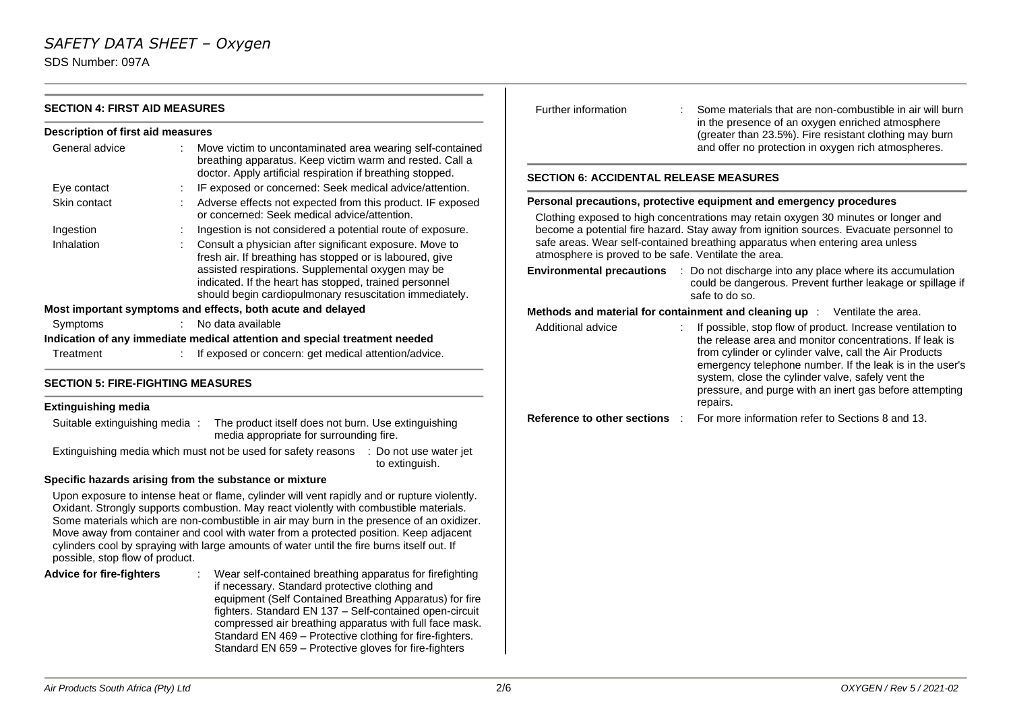# *SAFETY DATA SHEET – Oxygen*

SDS Number: 097A

| <b>SECTION 4: FIRST AID MEASURES</b>                                                                                            |  |                                                                                                                                                                                                                                                                                                                                                                                                                                                                           | Further information                                                                                                                                       | Some materials that are non-combustible in air will burn                                                                                                                 |  |  |
|---------------------------------------------------------------------------------------------------------------------------------|--|---------------------------------------------------------------------------------------------------------------------------------------------------------------------------------------------------------------------------------------------------------------------------------------------------------------------------------------------------------------------------------------------------------------------------------------------------------------------------|-----------------------------------------------------------------------------------------------------------------------------------------------------------|--------------------------------------------------------------------------------------------------------------------------------------------------------------------------|--|--|
| <b>Description of first aid measures</b>                                                                                        |  |                                                                                                                                                                                                                                                                                                                                                                                                                                                                           |                                                                                                                                                           | in the presence of an oxygen enriched atmosphere<br>(greater than 23.5%). Fire resistant clothing may burn                                                               |  |  |
| General advice                                                                                                                  |  | Move victim to uncontaminated area wearing self-contained<br>breathing apparatus. Keep victim warm and rested. Call a                                                                                                                                                                                                                                                                                                                                                     |                                                                                                                                                           | and offer no protection in oxygen rich atmospheres.                                                                                                                      |  |  |
|                                                                                                                                 |  | doctor. Apply artificial respiration if breathing stopped.                                                                                                                                                                                                                                                                                                                                                                                                                | <b>SECTION 6: ACCIDENTAL RELEASE MEASURES</b>                                                                                                             |                                                                                                                                                                          |  |  |
| Eye contact<br>Skin contact                                                                                                     |  | IF exposed or concerned: Seek medical advice/attention.<br>Adverse effects not expected from this product. IF exposed                                                                                                                                                                                                                                                                                                                                                     |                                                                                                                                                           |                                                                                                                                                                          |  |  |
|                                                                                                                                 |  | or concerned: Seek medical advice/attention.                                                                                                                                                                                                                                                                                                                                                                                                                              | Personal precautions, protective equipment and emergency procedures<br>Clothing exposed to high concentrations may retain oxygen 30 minutes or longer and |                                                                                                                                                                          |  |  |
| Ingestion                                                                                                                       |  | Ingestion is not considered a potential route of exposure.                                                                                                                                                                                                                                                                                                                                                                                                                | become a potential fire hazard. Stay away from ignition sources. Evacuate personnel to                                                                    |                                                                                                                                                                          |  |  |
| Inhalation                                                                                                                      |  | Consult a physician after significant exposure. Move to<br>fresh air. If breathing has stopped or is laboured, give                                                                                                                                                                                                                                                                                                                                                       | safe areas. Wear self-contained breathing apparatus when entering area unless<br>atmosphere is proved to be safe. Ventilate the area.                     |                                                                                                                                                                          |  |  |
|                                                                                                                                 |  | assisted respirations. Supplemental oxygen may be<br>indicated. If the heart has stopped, trained personnel<br>should begin cardiopulmonary resuscitation immediately.                                                                                                                                                                                                                                                                                                    |                                                                                                                                                           | Environmental precautions : Do not discharge into any place where its accumulation<br>could be dangerous. Prevent further leakage or spillage if<br>safe to do so.       |  |  |
|                                                                                                                                 |  | Most important symptoms and effects, both acute and delayed                                                                                                                                                                                                                                                                                                                                                                                                               |                                                                                                                                                           | Methods and material for containment and cleaning up : Ventilate the area.                                                                                               |  |  |
| Symptoms                                                                                                                        |  | No data available                                                                                                                                                                                                                                                                                                                                                                                                                                                         | Additional advice                                                                                                                                         | If possible, stop flow of product. Increase ventilation to                                                                                                               |  |  |
| Treatment                                                                                                                       |  | Indication of any immediate medical attention and special treatment needed<br>If exposed or concern: get medical attention/advice.                                                                                                                                                                                                                                                                                                                                        |                                                                                                                                                           | the release area and monitor concentrations. If leak is<br>from cylinder or cylinder valve, call the Air Products                                                        |  |  |
| <b>SECTION 5: FIRE-FIGHTING MEASURES</b>                                                                                        |  |                                                                                                                                                                                                                                                                                                                                                                                                                                                                           |                                                                                                                                                           | emergency telephone number. If the leak is in the user's<br>system, close the cylinder valve, safely vent the<br>pressure, and purge with an inert gas before attempting |  |  |
| <b>Extinguishing media</b>                                                                                                      |  |                                                                                                                                                                                                                                                                                                                                                                                                                                                                           |                                                                                                                                                           | repairs.                                                                                                                                                                 |  |  |
| Suitable extinguishing media:<br>The product itself does not burn. Use extinguishing<br>media appropriate for surrounding fire. |  |                                                                                                                                                                                                                                                                                                                                                                                                                                                                           | <b>Reference to other sections</b>                                                                                                                        | For more information refer to Sections 8 and 13.                                                                                                                         |  |  |
|                                                                                                                                 |  | Extinguishing media which must not be used for safety reasons : Do not use water jet<br>to extinguish.                                                                                                                                                                                                                                                                                                                                                                    |                                                                                                                                                           |                                                                                                                                                                          |  |  |
|                                                                                                                                 |  | Specific hazards arising from the substance or mixture                                                                                                                                                                                                                                                                                                                                                                                                                    |                                                                                                                                                           |                                                                                                                                                                          |  |  |
| possible, stop flow of product.                                                                                                 |  | Upon exposure to intense heat or flame, cylinder will vent rapidly and or rupture violently.<br>Oxidant. Strongly supports combustion. May react violently with combustible materials.<br>Some materials which are non-combustible in air may burn in the presence of an oxidizer.<br>Move away from container and cool with water from a protected position. Keep adjacent<br>cylinders cool by spraying with large amounts of water until the fire burns itself out. If |                                                                                                                                                           |                                                                                                                                                                          |  |  |
| <b>Advice for fire-fighters</b>                                                                                                 |  | Wear self-contained breathing apparatus for firefighting<br>if necessary. Standard protective clothing and<br>equipment (Self Contained Breathing Apparatus) for fire<br>fighters. Standard EN 137 - Self-contained open-circuit<br>compressed air breathing apparatus with full face mask.                                                                                                                                                                               |                                                                                                                                                           |                                                                                                                                                                          |  |  |

Standard EN 469 – Protective clothing for fire-fighters. Standard EN 659 – Protective gloves for fire-fighters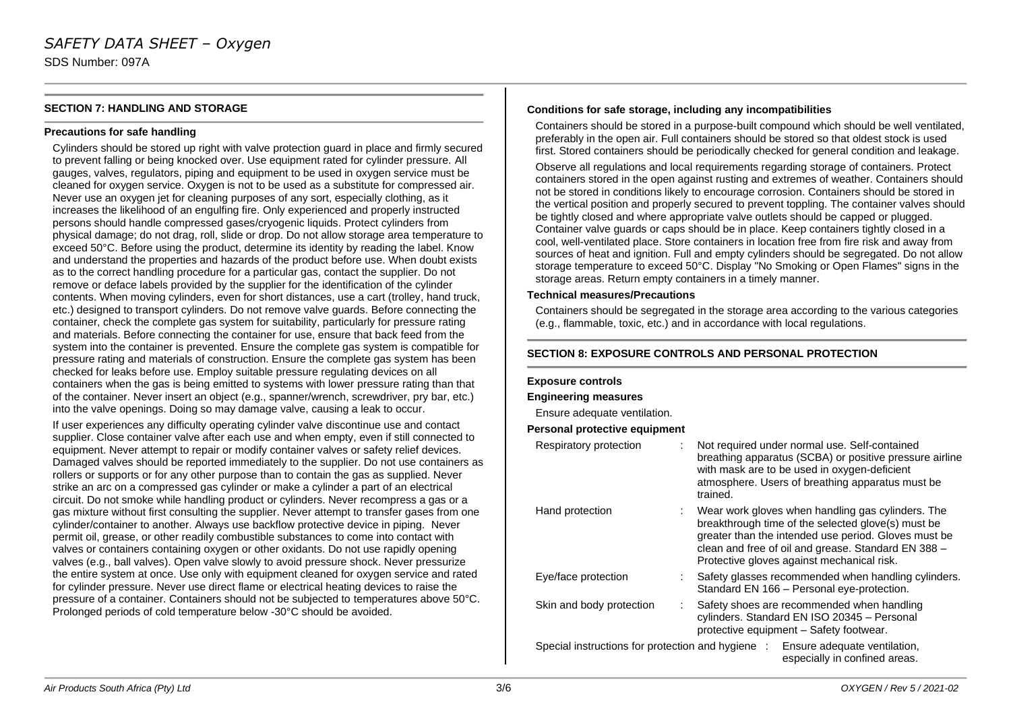#### **SECTION 7: HANDLING AND STORAGE**

#### **Precautions for safe handling**

Cylinders should be stored up right with valve protection guard in place and firmly secured to prevent falling or being knocked over. Use equipment rated for cylinder pressure. All gauges, valves, regulators, piping and equipment to be used in oxygen service must be cleaned for oxygen service. Oxygen is not to be used as a substitute for compressed air. Never use an oxygen jet for cleaning purposes of any sort, especially clothing, as it increases the likelihood of an engulfing fire. Only experienced and properly instructed persons should handle compressed gases/cryogenic liquids. Protect cylinders from physical damage; do not drag, roll, slide or drop. Do not allow storage area temperature to exceed 50°C. Before using the product, determine its identity by reading the label. Know and understand the properties and hazards of the product before use. When doubt exists as to the correct handling procedure for a particular gas, contact the supplier. Do not remove or deface labels provided by the supplier for the identification of the cylinder contents. When moving cylinders, even for short distances, use a cart (trolley, hand truck, etc.) designed to transport cylinders. Do not remove valve guards. Before connecting the container, check the complete gas system for suitability, particularly for pressure rating and materials. Before connecting the container for use, ensure that back feed from the system into the container is prevented. Ensure the complete gas system is compatible for pressure rating and materials of construction. Ensure the complete gas system has been checked for leaks before use. Employ suitable pressure regulating devices on all containers when the gas is being emitted to systems with lower pressure rating than that of the container. Never insert an object (e.g., spanner/wrench, screwdriver, pry bar, etc.) into the valve openings. Doing so may damage valve, causing a leak to occur.

If user experiences any difficulty operating cylinder valve discontinue use and contact supplier. Close container valve after each use and when empty, even if still connected to equipment. Never attempt to repair or modify container valves or safety relief devices. Damaged valves should be reported immediately to the supplier. Do not use containers as rollers or supports or for any other purpose than to contain the gas as supplied. Never strike an arc on a compressed gas cylinder or make a cylinder a part of an electrical circuit. Do not smoke while handling product or cylinders. Never recompress a gas or a gas mixture without first consulting the supplier. Never attempt to transfer gases from one cylinder/container to another. Always use backflow protective device in piping. Never permit oil, grease, or other readily combustible substances to come into contact with valves or containers containing oxygen or other oxidants. Do not use rapidly opening valves (e.g., ball valves). Open valve slowly to avoid pressure shock. Never pressurize the entire system at once. Use only with equipment cleaned for oxygen service and rated for cylinder pressure. Never use direct flame or electrical heating devices to raise the pressure of a container. Containers should not be subjected to temperatures above 50°C. Prolonged periods of cold temperature below -30°C should be avoided.

#### **Conditions for safe storage, including any incompatibilities**

Containers should be stored in a purpose-built compound which should be well ventilated, preferably in the open air. Full containers should be stored so that oldest stock is used first. Stored containers should be periodically checked for general condition and leakage.

Observe all regulations and local requirements regarding storage of containers. Protect containers stored in the open against rusting and extremes of weather. Containers should not be stored in conditions likely to encourage corrosion. Containers should be stored in the vertical position and properly secured to prevent toppling. The container valves should be tightly closed and where appropriate valve outlets should be capped or plugged. Container valve guards or caps should be in place. Keep containers tightly closed in a cool, well-ventilated place. Store containers in location free from fire risk and away from sources of heat and ignition. Full and empty cylinders should be segregated. Do not allow storage temperature to exceed 50°C. Display "No Smoking or Open Flames" signs in the storage areas. Return empty containers in a timely manner.

#### **Technical measures/Precautions**

Containers should be segregated in the storage area according to the various categories (e.g., flammable, toxic, etc.) and in accordance with local regulations.

#### **SECTION 8: EXPOSURE CONTROLS AND PERSONAL PROTECTION**

#### **Exposure controls**

#### **Engineering measures**

Ensure adequate ventilation.

#### **Personal protective equipment**

| Respiratory protection                            | Not required under normal use. Self-contained<br>breathing apparatus (SCBA) or positive pressure airline<br>with mask are to be used in oxygen-deficient<br>atmosphere. Users of breathing apparatus must be<br>trained.                                               |
|---------------------------------------------------|------------------------------------------------------------------------------------------------------------------------------------------------------------------------------------------------------------------------------------------------------------------------|
| Hand protection                                   | : Wear work gloves when handling gas cylinders. The<br>breakthrough time of the selected glove(s) must be<br>greater than the intended use period. Gloves must be<br>clean and free of oil and grease. Standard EN 388 -<br>Protective gloves against mechanical risk. |
| Eye/face protection                               | Safety glasses recommended when handling cylinders.<br>Standard EN 166 - Personal eye-protection.                                                                                                                                                                      |
| Skin and body protection                          | Safety shoes are recommended when handling<br>cylinders. Standard EN ISO 20345 - Personal<br>protective equipment - Safety footwear.                                                                                                                                   |
| Special instructions for protection and hygiene : | Ensure adequate ventilation,<br>especially in confined areas.                                                                                                                                                                                                          |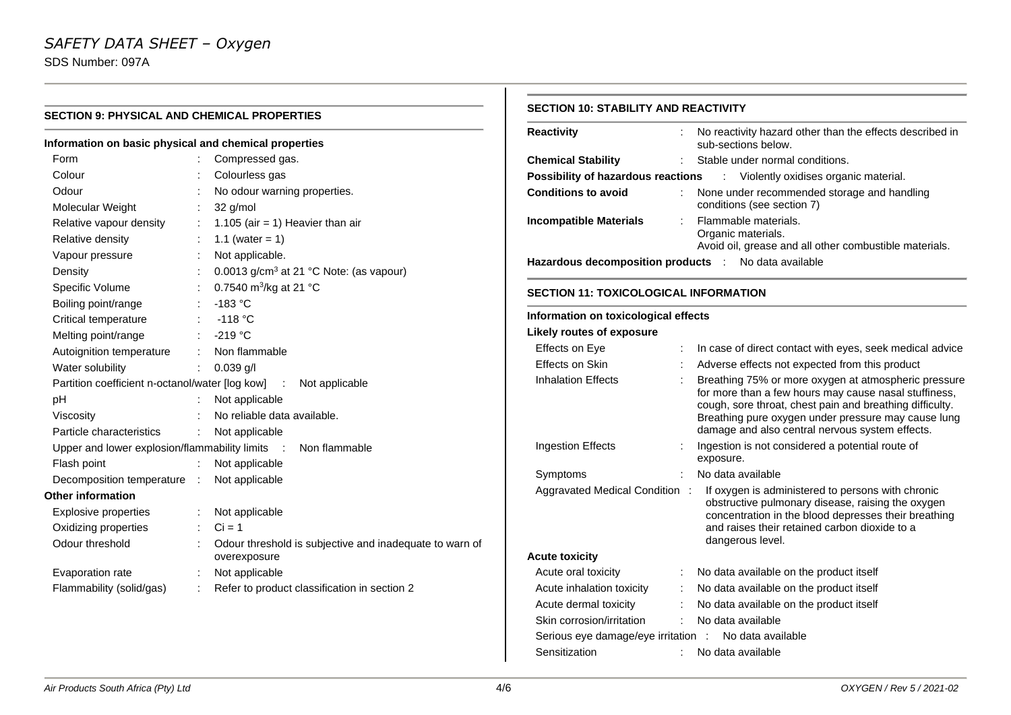**SECTION 9: PHYSICAL AND CHEMICAL PROPERTIES**

### **Information on basic physical and chemical properties** Form : Compressed gas. Colour : Colourless gas Odour : No odour warning properties. Molecular Weight : 32 g/mol Relative vapour density :  $1.105$  (air = 1) Heavier than air Relative density  $\therefore$  1.1 (water = 1) Vapour pressure : Not applicable. Density **Density** : 0.0013 g/cm<sup>3</sup> at 21 °C Note: (as vapour) Specific Volume :  $0.7540 \text{ m}^3\text{/kg}$  at 21 °C Boiling point/range : -183 °C Critical temperature : -118 °C Melting point/range : -219 °C Autoignition temperature : Non flammable Water solubility : 0.039 g/l Partition coefficient n-octanol/water [log kow] : Not applicable pH : Not applicable Viscosity : No reliable data available. Particle characteristics : Not applicable Upper and lower explosion/flammability limits : Non flammable Flash point : Not applicable Decomposition temperature : Not applicable **Other information** Explosive properties : Not applicable Oxidizing properties  $\therefore$  Ci = 1 Odour threshold : Odour threshold is subjective and inadequate to warn of overexposure

### **SECTION 10: STABILITY AND REACTIVITY Reactivity** : No reactivity hazard other than the effects described in

| ,,,,,,,,,,,,                                          |                                                                                | o readirity nazara other than the encels acsombed in<br>sub-sections below.                                                                                                                                                                                                         |  |  |
|-------------------------------------------------------|--------------------------------------------------------------------------------|-------------------------------------------------------------------------------------------------------------------------------------------------------------------------------------------------------------------------------------------------------------------------------------|--|--|
| <b>Chemical Stability</b>                             |                                                                                | Stable under normal conditions.                                                                                                                                                                                                                                                     |  |  |
| <b>Possibility of hazardous reactions</b>             |                                                                                | t<br>Violently oxidises organic material.                                                                                                                                                                                                                                           |  |  |
| <b>Conditions to avoid</b>                            | None under recommended storage and handling<br>÷<br>conditions (see section 7) |                                                                                                                                                                                                                                                                                     |  |  |
| <b>Incompatible Materials</b>                         | ÷                                                                              | Flammable materials.<br>Organic materials.<br>Avoid oil, grease and all other combustible materials.                                                                                                                                                                                |  |  |
| Hazardous decomposition products :                    |                                                                                | No data available                                                                                                                                                                                                                                                                   |  |  |
| <b>SECTION 11: TOXICOLOGICAL INFORMATION</b>          |                                                                                |                                                                                                                                                                                                                                                                                     |  |  |
| Information on toxicological effects                  |                                                                                |                                                                                                                                                                                                                                                                                     |  |  |
| <b>Likely routes of exposure</b>                      |                                                                                |                                                                                                                                                                                                                                                                                     |  |  |
| Effects on Eye                                        |                                                                                | In case of direct contact with eyes, seek medical advice                                                                                                                                                                                                                            |  |  |
| Effects on Skin                                       |                                                                                | Adverse effects not expected from this product                                                                                                                                                                                                                                      |  |  |
| <b>Inhalation Effects</b>                             |                                                                                | Breathing 75% or more oxygen at atmospheric pressure<br>for more than a few hours may cause nasal stuffiness,<br>cough, sore throat, chest pain and breathing difficulty.<br>Breathing pure oxygen under pressure may cause lung<br>damage and also central nervous system effects. |  |  |
| <b>Ingestion Effects</b>                              |                                                                                | Ingestion is not considered a potential route of<br>exposure.                                                                                                                                                                                                                       |  |  |
| Symptoms                                              |                                                                                | No data available                                                                                                                                                                                                                                                                   |  |  |
| Aggravated Medical Condition :                        |                                                                                | If oxygen is administered to persons with chronic<br>obstructive pulmonary disease, raising the oxygen<br>concentration in the blood depresses their breathing<br>and raises their retained carbon dioxide to a<br>dangerous level.                                                 |  |  |
| <b>Acute toxicity</b>                                 |                                                                                |                                                                                                                                                                                                                                                                                     |  |  |
| Acute oral toxicity                                   |                                                                                | No data available on the product itself                                                                                                                                                                                                                                             |  |  |
| Acute inhalation toxicity                             |                                                                                | No data available on the product itself                                                                                                                                                                                                                                             |  |  |
| Acute dermal toxicity                                 |                                                                                | No data available on the product itself                                                                                                                                                                                                                                             |  |  |
| Skin corrosion/irritation                             |                                                                                | No data available                                                                                                                                                                                                                                                                   |  |  |
| Serious eye damage/eye irritation : No data available |                                                                                |                                                                                                                                                                                                                                                                                     |  |  |
| Sensitization                                         |                                                                                | No data available                                                                                                                                                                                                                                                                   |  |  |

Evaporation rate : Not applicable

Flammability (solid/gas) : Refer to product classification in section 2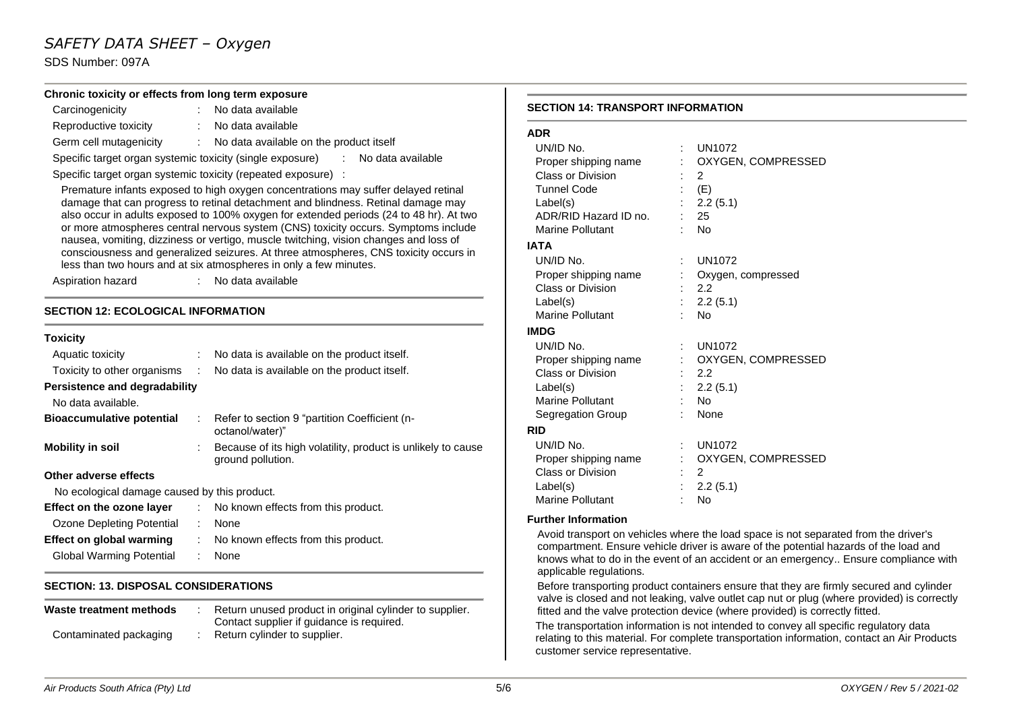### *SAFETY DATA SHEET – Oxygen*

SDS Number: 097A

|                                              | Chronic toxicity or effects from long term exposure                                                                                                                        |                                          |                                                                                         |
|----------------------------------------------|----------------------------------------------------------------------------------------------------------------------------------------------------------------------------|------------------------------------------|-----------------------------------------------------------------------------------------|
| Carcinogenicity                              | : No data available                                                                                                                                                        | <b>SECTION 14: TRANSPORT INFORMATION</b> |                                                                                         |
| Reproductive toxicity                        | : No data available                                                                                                                                                        |                                          |                                                                                         |
| Germ cell mutagenicity                       | : No data available on the product itself                                                                                                                                  | <b>ADR</b>                               |                                                                                         |
|                                              | Specific target organ systemic toxicity (single exposure) : No data available                                                                                              | UN/ID No.                                | <b>UN1072</b>                                                                           |
|                                              |                                                                                                                                                                            | Proper shipping name                     | OXYGEN, COMPRESSED                                                                      |
|                                              | Specific target organ systemic toxicity (repeated exposure) :                                                                                                              | Class or Division                        | $\mathbf{2}^{\circ}$                                                                    |
|                                              | Premature infants exposed to high oxygen concentrations may suffer delayed retinal                                                                                         | <b>Tunnel Code</b>                       | (E)                                                                                     |
|                                              | damage that can progress to retinal detachment and blindness. Retinal damage may<br>also occur in adults exposed to 100% oxygen for extended periods (24 to 48 hr). At two | Label(s)                                 | 2.2(5.1)                                                                                |
|                                              | or more atmospheres central nervous system (CNS) toxicity occurs. Symptoms include                                                                                         | ADR/RID Hazard ID no.                    | 25                                                                                      |
|                                              | nausea, vomiting, dizziness or vertigo, muscle twitching, vision changes and loss of                                                                                       | <b>Marine Pollutant</b>                  | <b>No</b>                                                                               |
|                                              | consciousness and generalized seizures. At three atmospheres, CNS toxicity occurs in                                                                                       | <b>IATA</b>                              |                                                                                         |
|                                              | less than two hours and at six atmospheres in only a few minutes.                                                                                                          | UN/ID No.                                | <b>UN1072</b>                                                                           |
| Aspiration hazard                            | : No data available                                                                                                                                                        | Proper shipping name                     | Oxygen, compressed                                                                      |
|                                              |                                                                                                                                                                            | Class or Division                        | 2.2                                                                                     |
| <b>SECTION 12: ECOLOGICAL INFORMATION</b>    |                                                                                                                                                                            | Label(s)                                 | 2.2(5.1)                                                                                |
|                                              |                                                                                                                                                                            | Marine Pollutant                         | No                                                                                      |
| <b>Toxicity</b>                              |                                                                                                                                                                            | <b>IMDG</b>                              |                                                                                         |
| Aquatic toxicity                             | No data is available on the product itself.                                                                                                                                | UN/ID No.                                | <b>UN1072</b>                                                                           |
|                                              |                                                                                                                                                                            | Proper shipping name                     | OXYGEN, COMPRESSED                                                                      |
| Toxicity to other organisms                  | No data is available on the product itself.                                                                                                                                | Class or Division                        | 2.2                                                                                     |
| <b>Persistence and degradability</b>         |                                                                                                                                                                            | Label(s)                                 | 2.2(5.1)                                                                                |
| No data available.                           |                                                                                                                                                                            | Marine Pollutant                         | No                                                                                      |
| <b>Bioaccumulative potential</b>             | Refer to section 9 "partition Coefficient (n-                                                                                                                              | Segregation Group                        | None                                                                                    |
|                                              | octanol/water)"                                                                                                                                                            | <b>RID</b>                               |                                                                                         |
| <b>Mobility in soil</b>                      | Because of its high volatility, product is unlikely to cause                                                                                                               | UN/ID No.                                | <b>UN1072</b>                                                                           |
|                                              | ground pollution.                                                                                                                                                          | Proper shipping name                     | OXYGEN, COMPRESSED                                                                      |
| Other adverse effects                        |                                                                                                                                                                            | Class or Division                        | $\overline{2}$                                                                          |
| No ecological damage caused by this product. |                                                                                                                                                                            | Label(s)                                 | 2.2(5.1)                                                                                |
| Effect on the ozone layer                    | No known effects from this product.                                                                                                                                        | Marine Pollutant                         | No                                                                                      |
|                                              |                                                                                                                                                                            | <b>Further Information</b>               |                                                                                         |
| <b>Ozone Depleting Potential</b>             | None                                                                                                                                                                       |                                          | Avoid transport on vehicles where the load space is not separated from the driver's     |
| <b>Effect on global warming</b>              | No known effects from this product.                                                                                                                                        |                                          | compartment. Ensure vehicle driver is aware of the potential hazards of the load and    |
| <b>Global Warming Potential</b>              | None                                                                                                                                                                       | applicable regulations.                  | knows what to do in the event of an accident or an emergency Ensure compliance with     |
| <b>SECTION: 13. DISPOSAL CONSIDERATIONS</b>  |                                                                                                                                                                            |                                          | Before transporting product containers ensure that they are firmly secured and cylinder |

#### **Waste treatment methods** : Return unused product in original cylinder to supplier. Contact supplier if guidance is required. Contaminated packaging : Return cylinder to supplier.

customer service representative.

fitted and the valve protection device (where provided) is correctly fitted.

valve is closed and not leaking, valve outlet cap nut or plug (where provided) is correctly

The transportation information is not intended to convey all specific regulatory data relating to this material. For complete transportation information, contact an Air Products